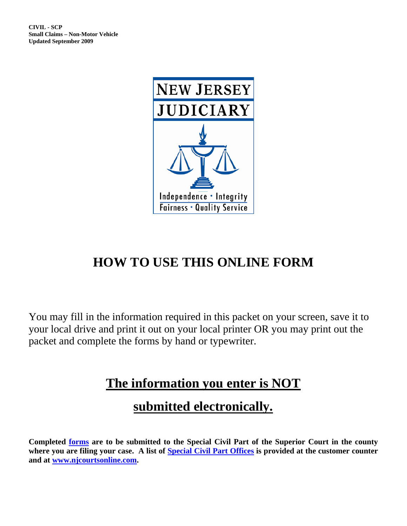

# **HOW TO USE THIS ONLINE FORM**

You may fill in the information required in this packet on your screen, save it to your local drive and print it out on your local printer OR you may print out the packet and complete the forms by hand or typewriter.

## **The information you enter is NOT**

## **submitted electronically.**

**Completed [forms](http://www.judiciary.state.nj.us/forms.htm) are to be submitted to the Special Civil Part of the Superior Court in the county where you are filing your case. A list of [Special Civil Part Offices](http://www.judiciary.state.nj.us/prose/10150_spcclerkofc.pdf) is provided at the customer counter and at [www.njcourtsonline.com.](http://www.judiciary.state.nj.us/)**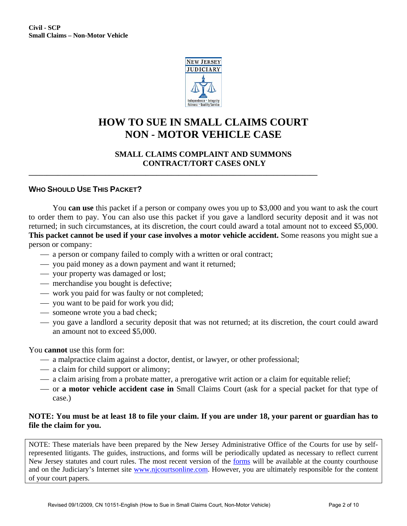

### **HOW TO SUE IN SMALL CLAIMS COURT NON - MOTOR VEHICLE CASE**

#### **SMALL CLAIMS COMPLAINT AND SUMMONS CONTRACT/TORT CASES ONLY**

#### **WHO SHOULD USE THIS PACKET?**

You **can use** this packet if a person or company owes you up to \$3,000 and you want to ask the court to order them to pay. You can also use this packet if you gave a landlord security deposit and it was not returned; in such circumstances, at its discretion, the court could award a total amount not to exceed \$5,000. **This packet cannot be used if your case involves a motor vehicle accident.** Some reasons you might sue a person or company:

 $\sim$  a person or company failed to comply with a written or oral contract;

**\_\_\_\_\_\_\_\_\_\_\_\_\_\_\_\_\_\_\_\_\_\_\_\_\_\_\_\_\_\_\_\_\_\_\_\_\_\_\_\_\_\_\_\_\_\_\_\_\_\_\_\_\_\_\_\_\_\_\_\_\_\_\_\_\_\_\_\_\_\_\_\_\_\_\_\_\_\_\_** 

- ⎯ you paid money as a down payment and want it returned;
- ⎯ your property was damaged or lost;
- merchandise you bought is defective;
- work you paid for was faulty or not completed;
- ⎯ you want to be paid for work you did;
- someone wrote you a bad check;
- ⎯ you gave a landlord a security deposit that was not returned; at its discretion, the court could award an amount not to exceed \$5,000.

You **cannot** use this form for:

- a malpractice claim against a doctor, dentist, or lawyer, or other professional;
- a claim for child support or alimony;
- $-$  a claim arising from a probate matter, a prerogative writ action or a claim for equitable relief;
- ⎯ or **a motor vehicle accident case in** Small Claims Court (ask for a special packet for that type of case.)

#### **NOTE: You must be at least 18 to file your claim. If you are under 18, your parent or guardian has to file the claim for you.**

NOTE: These materials have been prepared by the New Jersey Administrative Office of the Courts for use by selfrepresented litigants. The guides, instructions, and forms will be periodically updated as necessary to reflect current New Jersey statutes and court rules. The most recent version of the [forms](http://www.judiciary.state.nj.us/forms.htm) will be available at the county courthouse and on the Judiciary's Internet site [www.njcourtsonline.com.](http://www.judiciary.state.nj.us/) However, you are ultimately responsible for the content of your court papers.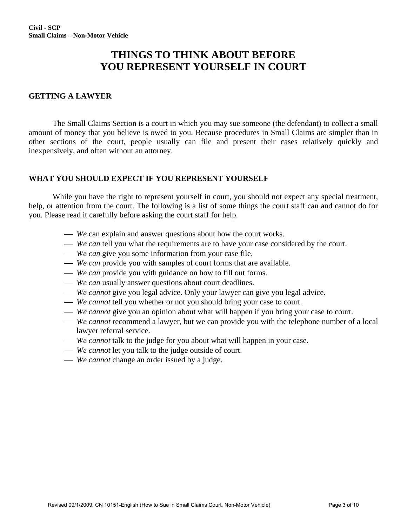### **THINGS TO THINK ABOUT BEFORE YOU REPRESENT YOURSELF IN COURT**

#### **GETTING A LAWYER**

The Small Claims Section is a court in which you may sue someone (the defendant) to collect a small amount of money that you believe is owed to you. Because procedures in Small Claims are simpler than in other sections of the court, people usually can file and present their cases relatively quickly and inexpensively, and often without an attorney.

#### **WHAT YOU SHOULD EXPECT IF YOU REPRESENT YOURSELF**

While you have the right to represent yourself in court, you should not expect any special treatment, help, or attention from the court. The following is a list of some things the court staff can and cannot do for you. Please read it carefully before asking the court staff for help.

- *We* can explain and answer questions about how the court works.
- *We can* tell you what the requirements are to have your case considered by the court.
- *We can* give you some information from your case file.
- *We can* provide you with samples of court forms that are available.
- *We can* provide you with guidance on how to fill out forms.
- *We can* usually answer questions about court deadlines.
- *We cannot* give you legal advice. Only your lawyer can give you legal advice.
- *We cannot* tell you whether or not you should bring your case to court.
- *We cannot* give you an opinion about what will happen if you bring your case to court.
- *We cannot* recommend a lawyer, but we can provide you with the telephone number of a local lawyer referral service.
- *We cannot* talk to the judge for you about what will happen in your case.
- *We cannot* let you talk to the judge outside of court.
- *We cannot* change an order issued by a judge.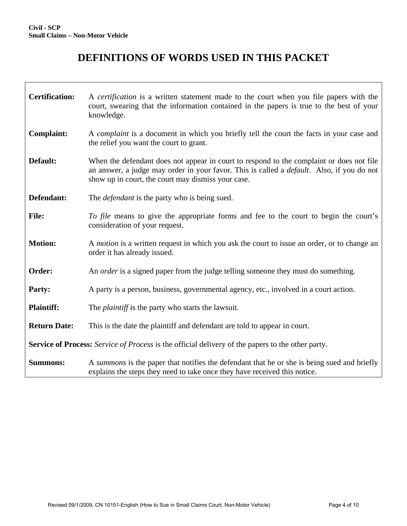## **DEFINITIONS OF WORDS USED IN THIS PACKET**

| <b>Certification:</b>                                                                                    | A <i>certification</i> is a written statement made to the court when you file papers with the<br>court, swearing that the information contained in the papers is true to the best of your<br>knowledge.                                             |  |  |  |
|----------------------------------------------------------------------------------------------------------|-----------------------------------------------------------------------------------------------------------------------------------------------------------------------------------------------------------------------------------------------------|--|--|--|
| <b>Complaint:</b>                                                                                        | A <i>complaint</i> is a document in which you briefly tell the court the facts in your case and<br>the relief you want the court to grant.                                                                                                          |  |  |  |
| Default:                                                                                                 | When the defendant does not appear in court to respond to the complaint or does not file<br>an answer, a judge may order in your favor. This is called a <i>default</i> . Also, if you do not<br>show up in court, the court may dismiss your case. |  |  |  |
| Defendant:                                                                                               | The <i>defendant</i> is the party who is being sued.                                                                                                                                                                                                |  |  |  |
| <b>File:</b>                                                                                             | To file means to give the appropriate forms and fee to the court to begin the court's<br>consideration of your request.                                                                                                                             |  |  |  |
| <b>Motion:</b>                                                                                           | A <i>motion</i> is a written request in which you ask the court to issue an order, or to change an<br>order it has already issued.                                                                                                                  |  |  |  |
| Order:                                                                                                   | An <i>order</i> is a signed paper from the judge telling someone they must do something.                                                                                                                                                            |  |  |  |
| Party:                                                                                                   | A party is a person, business, governmental agency, etc., involved in a court action.                                                                                                                                                               |  |  |  |
| <b>Plaintiff:</b>                                                                                        | The <i>plaintiff</i> is the party who starts the lawsuit.                                                                                                                                                                                           |  |  |  |
| <b>Return Date:</b>                                                                                      | This is the date the plaintiff and defendant are told to appear in court.                                                                                                                                                                           |  |  |  |
| <b>Service of Process:</b> Service of Process is the official delivery of the papers to the other party. |                                                                                                                                                                                                                                                     |  |  |  |
| <b>Summons:</b>                                                                                          | A summons is the paper that notifies the defendant that he or she is being sued and briefly<br>explains the steps they need to take once they have received this notice.                                                                            |  |  |  |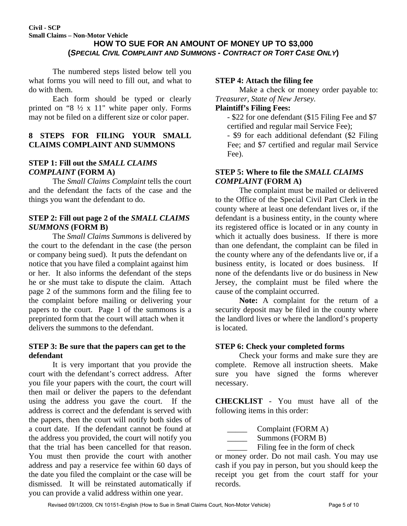#### **HOW TO SUE FOR AN AMOUNT OF MONEY UP TO \$3,000 (***SPECIAL CIVIL COMPLAINT AND SUMMONS - CONTRACT OR TORT CASE ONLY***)**

The numbered steps listed below tell you what forms you will need to fill out, and what to do with them.

Each form should be typed or clearly printed on "8 ½ x 11" white paper only. Forms may not be filed on a different size or color paper.

#### **8 STEPS FOR FILING YOUR SMALL CLAIMS COMPLAINT AND SUMMONS**

### **STEP 1: Fill out the** *SMALL CLAIMS COMPLAINT* **(FORM A)**

The *Small Claims Complaint* tells the court and the defendant the facts of the case and the things you want the defendant to do.

#### **STEP 2: Fill out page 2 of the** *SMALL CLAIMS SUMMONS* **(FORM B)**

The *Small Claims Summons* is delivered by the court to the defendant in the case (the person or company being sued). It puts the defendant on notice that you have filed a complaint against him or her. It also informs the defendant of the steps he or she must take to dispute the claim. Attach page 2 of the summons form and the filing fee to the complaint before mailing or delivering your papers to the court. Page 1 of the summons is a preprinted form that the court will attach when it delivers the summons to the defendant.

#### **STEP 3: Be sure that the papers can get to the defendant**

It is very important that you provide the court with the defendant's correct address. After you file your papers with the court, the court will then mail or deliver the papers to the defendant using the address you gave the court. If the address is correct and the defendant is served with the papers, then the court will notify both sides of a court date. If the defendant cannot be found at the address you provided, the court will notify you that the trial has been cancelled for that reason. You must then provide the court with another address and pay a reservice fee within 60 days of the date you filed the complaint or the case will be dismissed. It will be reinstated automatically if you can provide a valid address within one year.

#### **STEP 4: Attach the filing fee**

Make a check or money order payable to: *Treasurer, State of New Jersey.* 

#### **Plaintiff's Filing Fees:**

- \$22 for one defendant (\$15 Filing Fee and \$7 certified and regular mail Service Fee);

- \$9 for each additional defendant (\$2 Filing Fee; and \$7 certified and regular mail Service Fee).

#### **STEP 5: Where to file the** *SMALL CLAIMS COMPLAINT* **(FORM A)**

The complaint must be mailed or delivered to the Office of the Special Civil Part Clerk in the county where at least one defendant lives or, if the defendant is a business entity, in the county where its registered office is located or in any county in which it actually does business. If there is more than one defendant, the complaint can be filed in the county where any of the defendants live or, if a business entity, is located or does business. If none of the defendants live or do business in New Jersey, the complaint must be filed where the cause of the complaint occurred.

**Note:** A complaint for the return of a security deposit may be filed in the county where the landlord lives or where the landlord's property is located.

#### **STEP 6: Check your completed forms**

Check your forms and make sure they are complete. Remove all instruction sheets. Make sure you have signed the forms wherever necessary.

**CHECKLIST** - You must have all of the following items in this order:

Complaint (FORM A)

Summons (FORM B)

Filing fee in the form of check

or money order. Do not mail cash. You may use cash if you pay in person, but you should keep the receipt you get from the court staff for your records.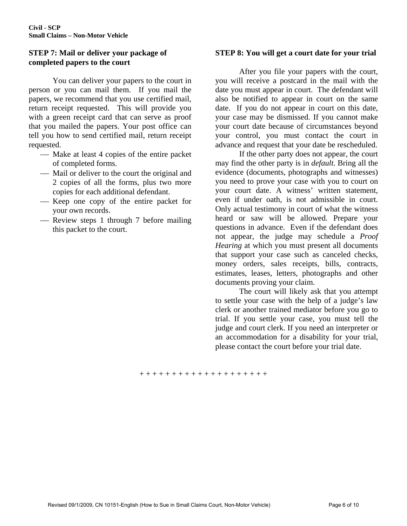#### **STEP 7: Mail or deliver your package of completed papers to the court**

You can deliver your papers to the court in person or you can mail them. If you mail the papers, we recommend that you use certified mail, return receipt requested. This will provide you with a green receipt card that can serve as proof that you mailed the papers. Your post office can tell you how to send certified mail, return receipt requested.

- Make at least 4 copies of the entire packet of completed forms.
- Mail or deliver to the court the original and 2 copies of all the forms, plus two more copies for each additional defendant.
- Keep one copy of the entire packet for your own records.
- Review steps 1 through 7 before mailing this packet to the court.

#### **STEP 8: You will get a court date for your trial**

After you file your papers with the court, you will receive a postcard in the mail with the date you must appear in court. The defendant will also be notified to appear in court on the same date. If you do not appear in court on this date, your case may be dismissed. If you cannot make your court date because of circumstances beyond your control, you must contact the court in advance and request that your date be rescheduled.

If the other party does not appear, the court may find the other party is in *default.* Bring all the evidence (documents, photographs and witnesses) you need to prove your case with you to court on your court date. A witness' written statement, even if under oath, is not admissible in court. Only actual testimony in court of what the witness heard or saw will be allowed. Prepare your questions in advance. Even if the defendant does not appear, the judge may schedule a *Proof Hearing* at which you must present all documents that support your case such as canceled checks, money orders, sales receipts, bills, contracts, estimates, leases, letters, photographs and other documents proving your claim.

The court will likely ask that you attempt to settle your case with the help of a judge's law clerk or another trained mediator before you go to trial. If you settle your case, you must tell the judge and court clerk. If you need an interpreter or an accommodation for a disability for your trial, please contact the court before your trial date.

#### + + + + + + + + + + + + + + + + + + + +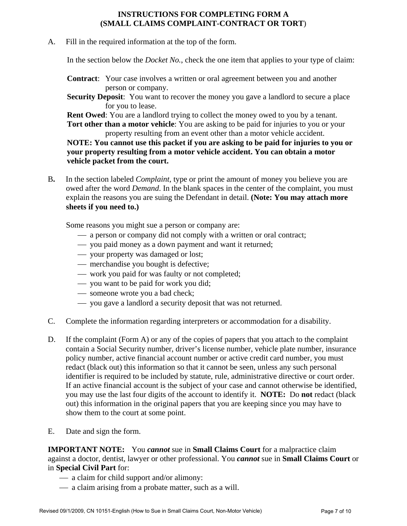#### **INSTRUCTIONS FOR COMPLETING FORM A (SMALL CLAIMS COMPLAINT-CONTRACT OR TORT**)

A. Fill in the required information at the top of the form.

In the section below the *Docket No.*, check the one item that applies to your type of claim:

- **Contract**: Your case involves a written or oral agreement between you and another person or company.
- **Security Deposit**: You want to recover the money you gave a landlord to secure a place for you to lease.

**Rent Owed**: You are a landlord trying to collect the money owed to you by a tenant.

**Tort other than a motor vehicle**: You are asking to be paid for injuries to you or your property resulting from an event other than a motor vehicle accident.

#### **NOTE: You cannot use this packet if you are asking to be paid for injuries to you or your property resulting from a motor vehicle accident. You can obtain a motor vehicle packet from the court.**

B**.** In the section labeled *Complaint*, type or print the amount of money you believe you are owed after the word *Demand*. In the blank spaces in the center of the complaint, you must explain the reasons you are suing the Defendant in detail. **(Note: You may attach more sheets if you need to.)** 

Some reasons you might sue a person or company are:

- $\frac{1}{2}$  a person or company did not comply with a written or oral contract;
- ⎯ you paid money as a down payment and want it returned;
- ⎯ your property was damaged or lost;
- merchandise you bought is defective;
- work you paid for was faulty or not completed;
- ⎯ you want to be paid for work you did;
- someone wrote you a bad check;
- ⎯ you gave a landlord a security deposit that was not returned.
- C. Complete the information regarding interpreters or accommodation for a disability.
- D. If the complaint (Form A) or any of the copies of papers that you attach to the complaint contain a Social Security number, driver's license number, vehicle plate number, insurance policy number, active financial account number or active credit card number, you must redact (black out) this information so that it cannot be seen, unless any such personal identifier is required to be included by statute, rule, administrative directive or court order. If an active financial account is the subject of your case and cannot otherwise be identified, you may use the last four digits of the account to identify it. **NOTE:** Do **not** redact (black out) this information in the original papers that you are keeping since you may have to show them to the court at some point.
- E. Date and sign the form.

**IMPORTANT NOTE:** You *cannot* sue in **Small Claims Court** for a malpractice claim against a doctor, dentist, lawyer or other professional. You *cannot* sue in **Small Claims Court** or in **Special Civil Part** for:

- a claim for child support and/or alimony:
- a claim arising from a probate matter, such as a will.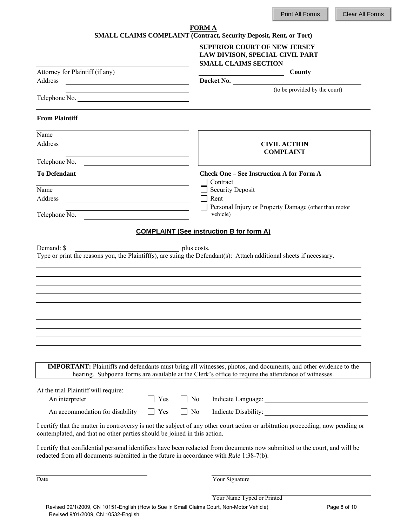|                                                                                                                                  | <b>FORMA</b><br>SMALL CLAIMS COMPLAINT (Contract, Security Deposit, Rent, or Tort)                                                                                                                                            |
|----------------------------------------------------------------------------------------------------------------------------------|-------------------------------------------------------------------------------------------------------------------------------------------------------------------------------------------------------------------------------|
|                                                                                                                                  | <b>SUPERIOR COURT OF NEW JERSEY</b><br>LAW DIVISON, SPECIAL CIVIL PART<br><b>SMALL CLAIMS SECTION</b>                                                                                                                         |
| Attorney for Plaintiff (if any)                                                                                                  | <b>County</b>                                                                                                                                                                                                                 |
| Address<br><u> 1989 - Johann Harry Harry Harry Harry Harry Harry Harry Harry Harry Harry Harry Harry Harry Harry Harry Harry</u> | Docket No.                                                                                                                                                                                                                    |
| Telephone No.                                                                                                                    | (to be provided by the court)                                                                                                                                                                                                 |
| <b>From Plaintiff</b>                                                                                                            |                                                                                                                                                                                                                               |
| Name                                                                                                                             |                                                                                                                                                                                                                               |
| Address<br><u> 1989 - Johann Stein, mars an deutscher Stein und der Stein und der Stein und der Stein und der Stein und der</u>  | <b>CIVIL ACTION</b><br><b>COMPLAINT</b>                                                                                                                                                                                       |
| Telephone No.                                                                                                                    |                                                                                                                                                                                                                               |
| <b>To Defendant</b>                                                                                                              | <b>Check One – See Instruction A for Form A</b><br>Contract                                                                                                                                                                   |
| Name                                                                                                                             | <b>Security Deposit</b>                                                                                                                                                                                                       |
| Address<br><u> 1989 - Johann Barbara, martxa alemaniar arg</u>                                                                   | Rent<br>Personal Injury or Property Damage (other than motor                                                                                                                                                                  |
| Telephone No.<br><u> 1980 - Andrea Andrew Maria (h. 1980).</u>                                                                   | vehicle)                                                                                                                                                                                                                      |
|                                                                                                                                  | <b>COMPLAINT (See instruction B for form A)</b>                                                                                                                                                                               |
|                                                                                                                                  |                                                                                                                                                                                                                               |
|                                                                                                                                  | <b>IMPORTANT:</b> Plaintiffs and defendants must bring all witnesses, photos, and documents, and other evidence to the<br>hearing. Subpoena forms are available at the Clerk's office to require the attendance of witnesses. |
| At the trial Plaintiff will require:<br>An interpreter                                                                           | $\overline{N}$<br>Yes                                                                                                                                                                                                         |
| An accommodation for disability                                                                                                  | Yes<br>$\Box$ No<br>$\mathbf{I}$                                                                                                                                                                                              |
| contemplated, and that no other parties should be joined in this action.                                                         | I certify that the matter in controversy is not the subject of any other court action or arbitration proceeding, now pending or                                                                                               |
|                                                                                                                                  | I certify that confidential personal identifiers have been redacted from documents now submitted to the court, and will be<br>redacted from all documents submitted in the future in accordance with Rule 1:38-7(b).          |
| Date                                                                                                                             | Your Signature                                                                                                                                                                                                                |

Your Name Typed or Printed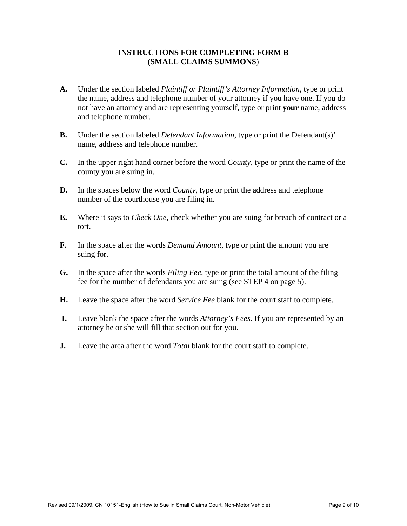#### **INSTRUCTIONS FOR COMPLETING FORM B (SMALL CLAIMS SUMMONS**)

- **A.** Under the section labeled *Plaintiff or Plaintiff's Attorney Information*, type or print the name, address and telephone number of your attorney if you have one. If you do not have an attorney and are representing yourself, type or print **your** name, address and telephone number.
- **B.** Under the section labeled *Defendant Information,* type or print the Defendant(s)' name, address and telephone number.
- **C.** In the upper right hand corner before the word *County*, type or print the name of the county you are suing in.
- **D.** In the spaces below the word *County*, type or print the address and telephone number of the courthouse you are filing in.
- **E.** Where it says to *Check One*, check whether you are suing for breach of contract or a tort.
- **F.** In the space after the words *Demand Amount*, type or print the amount you are suing for.
- **G.** In the space after the words *Filing Fee*, type or print the total amount of the filing fee for the number of defendants you are suing (see STEP 4 on page 5).
- **H.** Leave the space after the word *Service Fee* blank for the court staff to complete.
- **I.** Leave blank the space after the words *Attorney's Fees*. If you are represented by an attorney he or she will fill that section out for you.
- **J.** Leave the area after the word *Total* blank for the court staff to complete.